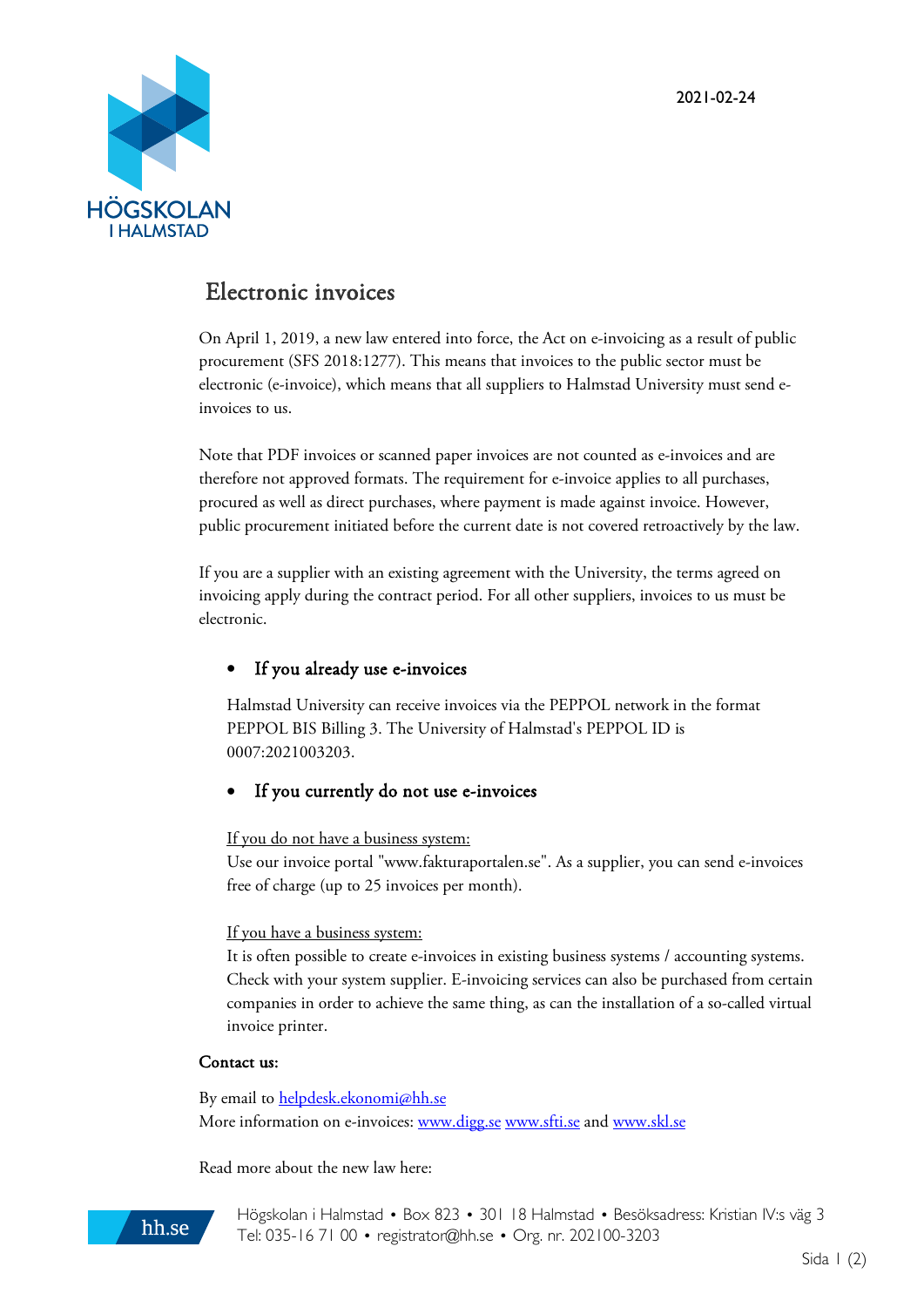

# Electronic invoices

On April 1, 2019, a new law entered into force, the Act on e-invoicing as a result of public procurement (SFS 2018:1277). This means that invoices to the public sector must be electronic (e-invoice), which means that all suppliers to Halmstad University must send einvoices to us.

Note that PDF invoices or scanned paper invoices are not counted as e-invoices and are therefore not approved formats. The requirement for e-invoice applies to all purchases, procured as well as direct purchases, where payment is made against invoice. However, public procurement initiated before the current date is not covered retroactively by the law.

If you are a supplier with an existing agreement with the University, the terms agreed on invoicing apply during the contract period. For all other suppliers, invoices to us must be electronic.

# If you already use e-invoices

Halmstad University can receive invoices via the PEPPOL network in the format PEPPOL BIS Billing 3. The University of Halmstad's PEPPOL ID is 0007:2021003203.

# If you currently do not use e-invoices

If you do not have a business system:

Use our invoice portal "www.fakturaportalen.se". As a supplier, you can send e-invoices free of charge (up to 25 invoices per month).

## If you have a business system:

It is often possible to create e-invoices in existing business systems / accounting systems. Check with your system supplier. E-invoicing services can also be purchased from certain companies in order to achieve the same thing, as can the installation of a so-called virtual invoice printer.

## Contact us:

By email to [helpdesk.ekonomi@hh.se](mailto:helpdesk.ekonomi@hh.se) More information on e-invoices: [www.digg.se](http://www.digg.se/) [www.sfti.se](http://www.sfti.se/) and [www.skl.se](http://www.skl.se/)

Read more about the new law here:



Högskolan i Halmstad • Box 823 • 301 18 Halmstad • Besöksadress: Kristian IV:s väg 3 Tel: 035-16 71 00 • [registrator@hh.se](mailto:registrator@hh.se) • Org. nr. 202100-3203